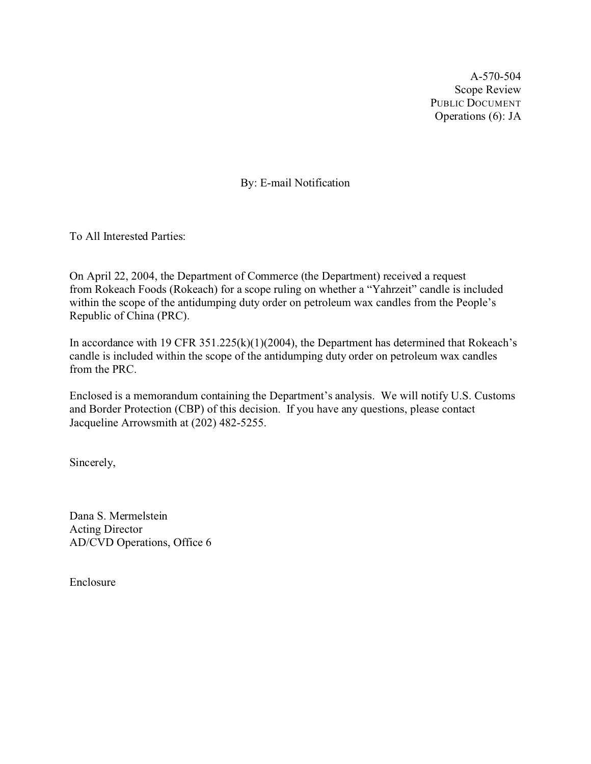A-570-504 Scope Review PUBLIC DOCUMENT Operations (6): JA

By: E-mail Notification

To All Interested Parties:

On April 22, 2004, the Department of Commerce (the Department) received a request from Rokeach Foods (Rokeach) for a scope ruling on whether a "Yahrzeit" candle is included within the scope of the antidumping duty order on petroleum wax candles from the People's Republic of China (PRC).

In accordance with 19 CFR 351.225(k)(1)(2004), the Department has determined that Rokeach's candle is included within the scope of the antidumping duty order on petroleum wax candles from the PRC.

Enclosed is a memorandum containing the Department's analysis. We will notify U.S. Customs and Border Protection (CBP) of this decision. If you have any questions, please contact Jacqueline Arrowsmith at (202) 482-5255.

Sincerely,

Dana S. Mermelstein Acting Director AD/CVD Operations, Office 6

Enclosure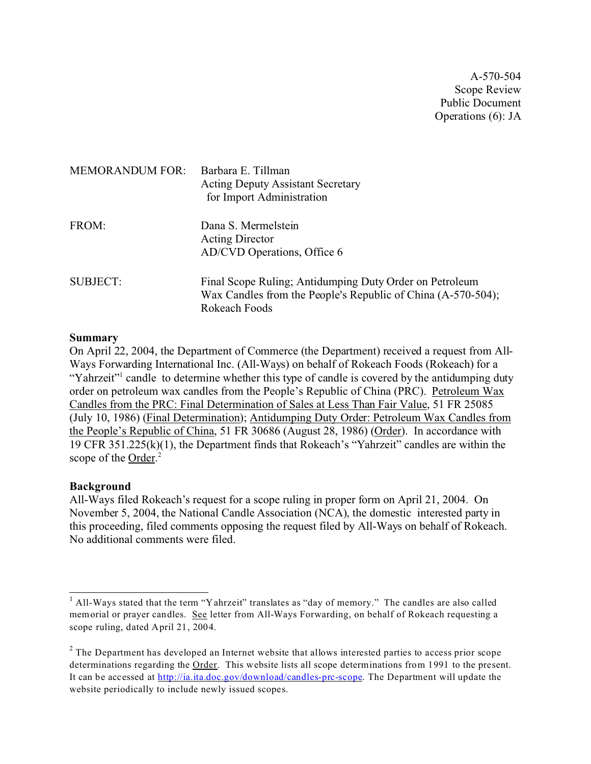A-570-504 Scope Review Public Document Operations (6): JA

| <b>MEMORANDUM FOR:</b> | Barbara E. Tillman<br><b>Acting Deputy Assistant Secretary</b><br>for Import Administration                                              |
|------------------------|------------------------------------------------------------------------------------------------------------------------------------------|
| FROM:                  | Dana S. Mermelstein<br><b>Acting Director</b><br>AD/CVD Operations, Office 6                                                             |
| <b>SUBJECT:</b>        | Final Scope Ruling; Antidumping Duty Order on Petroleum<br>Wax Candles from the People's Republic of China (A-570-504);<br>Rokeach Foods |

### **Summary**

On April 22, 2004, the Department of Commerce (the Department) received a request from All-Ways Forwarding International Inc. (All-Ways) on behalf of Rokeach Foods (Rokeach) for a "Yahrzeit" candle to determine whether this type of candle is covered by the antidumping duty order on petroleum wax candles from the People's Republic of China (PRC). Petroleum Wax Candles from the PRC: Final Determination of Sales at Less Than Fair Value, 51 FR 25085 (July 10, 1986) (Final Determination); Antidumping Duty Order: Petroleum Wax Candles from the People's Republic of China, 51 FR 30686 (August 28, 1986) (Order). In accordance with 19 CFR 351.225(k)(1), the Department finds that Rokeach's "Yahrzeit" candles are within the scope of the Order.<sup>2</sup>

### **Background**

All-Ways filed Rokeach's request for a scope ruling in proper form on April 21, 2004. On November 5, 2004, the National Candle Association (NCA), the domestic interested party in this proceeding, filed comments opposing the request filed by All-Ways on behalf of Rokeach. No additional comments were filed.

<sup>&</sup>lt;sup>1</sup> All-Ways stated that the term "Yahrzeit" translates as "day of memory." The candles are also called memorial or prayer candles. See letter from All-Ways Forwarding, on behalf of Rokeach requesting a scope ruling, dated April 21, 2004.

 $2$  The Department has developed an Internet website that allows interested parties to access prior scope determinations regarding the Order. This website lists all scope determinations from 1991 to the present. It can be accessed at [http://ia.ita.doc.gov/download/candles-prc-scope](http://ia.ita.doc.gov/download/candles-prc-scope/.). The Department will update the website periodically to include newly issued scopes.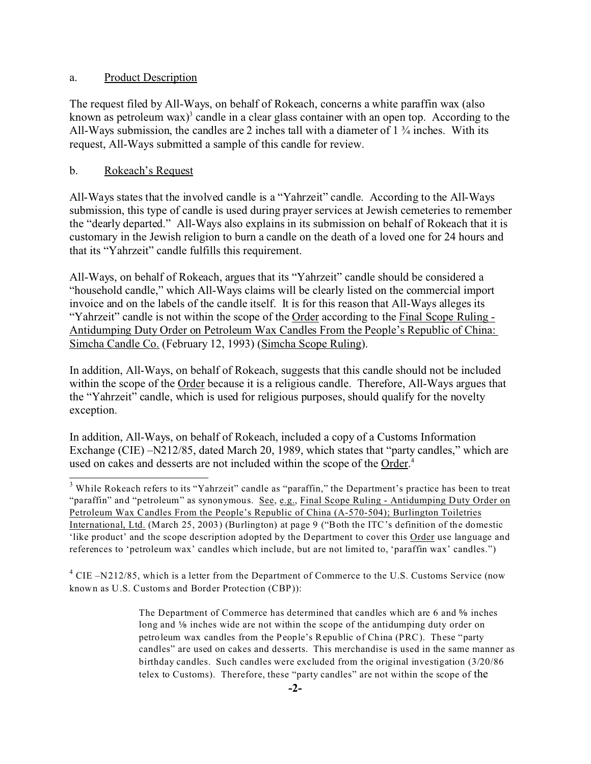## a. Product Description

The request filed by All-Ways, on behalf of Rokeach, concerns a white paraffin wax (also known as petroleum wax)<sup>3</sup> candle in a clear glass container with an open top. According to the All-Ways submission, the candles are 2 inches tall with a diameter of 1 ¾ inches. With its request, All-Ways submitted a sample of this candle for review.

# b. Rokeach's Request

All-Ways states that the involved candle is a "Yahrzeit" candle. According to the All-Ways submission, this type of candle is used during prayer services at Jewish cemeteries to remember the "dearly departed." All-Ways also explains in its submission on behalf of Rokeach that it is customary in the Jewish religion to burn a candle on the death of a loved one for 24 hours and that its "Yahrzeit" candle fulfills this requirement.

All-Ways, on behalf of Rokeach, argues that its "Yahrzeit" candle should be considered a "household candle," which All-Ways claims will be clearly listed on the commercial import invoice and on the labels of the candle itself. It is for this reason that All-Ways alleges its "Yahrzeit" candle is not within the scope of the Order according to the Final Scope Ruling - Antidumping Duty Order on Petroleum Wax Candles From the People's Republic of China: Simcha Candle Co. (February 12, 1993) (Simcha Scope Ruling).

In addition, All-Ways, on behalf of Rokeach, suggests that this candle should not be included within the scope of the Order because it is a religious candle. Therefore, All-Ways argues that the "Yahrzeit" candle, which is used for religious purposes, should qualify for the novelty exception.

In addition, All-Ways, on behalf of Rokeach, included a copy of a Customs Information Exchange (CIE) –N212/85, dated March 20, 1989, which states that "party candles," which are used on cakes and desserts are not included within the scope of the Order.<sup>4</sup>

 $3$  While Rokeach refers to its "Yahrzeit" candle as "paraffin," the Department's practice has been to treat "paraffin" and "petroleum" as synonymous. See, e.g., Final Scope Ruling - Antidumping Duty Order on Petroleum Wax Candles From the People's Republic of China (A-570-504); Burlington Toiletries International, Ltd. (March 25, 2003) (Burlington) at page 9 ("Both the ITC's definition of the domestic 'like product' and the scope description adopted by the Department to cover this Order use language and references to 'petroleum wax' candles which include, but are not limited to, 'paraffin wax' candles.")

 $4$  CIE –N212/85, which is a letter from the Department of Commerce to the U.S. Customs Service (now known as U.S. Customs and Border Protection (CBP)):

> The Department of Commerce has determined that candles which are  $6$  and  $\frac{5}{6}$  inches long and 1/8 inches wide are not within the scope of the antidumping duty order on petroleum wax candles from the People's Republic of China (PRC). These "party candles" are used on cakes and desserts. This merchandise is used in the same manner as birthday candles. Such candles were excluded from the original investigation (3/20/86 telex to Customs). Therefore, these "party candles" are not within the scope of the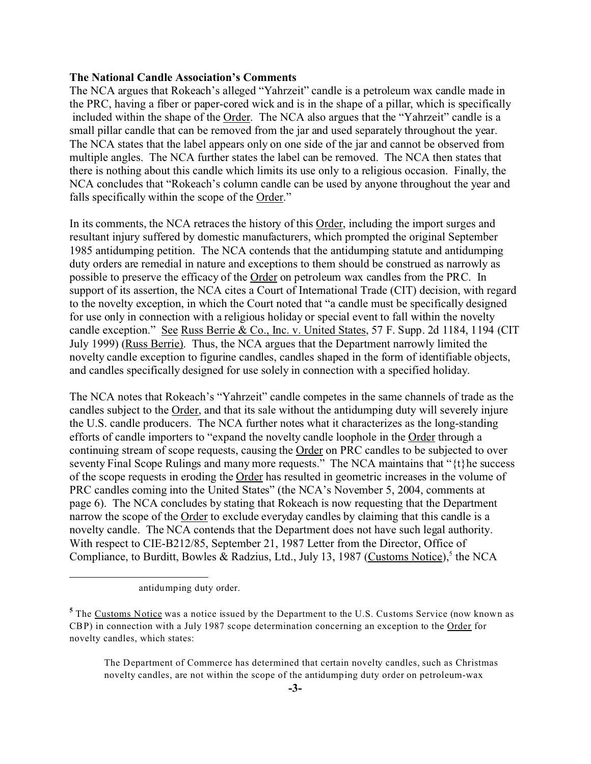#### **The National Candle Association's Comments**

The NCA argues that Rokeach's alleged "Yahrzeit" candle is a petroleum wax candle made in the PRC, having a fiber or paper-cored wick and is in the shape of a pillar, which is specifically included within the shape of the Order. The NCA also argues that the "Yahrzeit" candle is a small pillar candle that can be removed from the jar and used separately throughout the year. The NCA states that the label appears only on one side of the jar and cannot be observed from multiple angles. The NCA further states the label can be removed. The NCA then states that there is nothing about this candle which limits its use only to a religious occasion. Finally, the NCA concludes that "Rokeach's column candle can be used by anyone throughout the year and falls specifically within the scope of the Order."

In its comments, the NCA retraces the history of this Order, including the import surges and resultant injury suffered by domestic manufacturers, which prompted the original September 1985 antidumping petition. The NCA contends that the antidumping statute and antidumping duty orders are remedial in nature and exceptions to them should be construed as narrowly as possible to preserve the efficacy of the Order on petroleum wax candles from the PRC. In support of its assertion, the NCA cites a Court of International Trade (CIT) decision, with regard to the novelty exception, in which the Court noted that "a candle must be specifically designed for use only in connection with a religious holiday or special event to fall within the novelty candle exception." See Russ Berrie & Co., Inc. v. United States, 57 F. Supp. 2d 1184, 1194 (CIT July 1999) (Russ Berrie). Thus, the NCA argues that the Department narrowly limited the novelty candle exception to figurine candles, candles shaped in the form of identifiable objects, and candles specifically designed for use solely in connection with a specified holiday.

The NCA notes that Rokeach's "Yahrzeit" candle competes in the same channels of trade as the candles subject to the Order, and that its sale without the antidumping duty will severely injure the U.S. candle producers. The NCA further notes what it characterizes as the long-standing efforts of candle importers to "expand the novelty candle loophole in the Order through a continuing stream of scope requests, causing the Order on PRC candles to be subjected to over seventy Final Scope Rulings and many more requests." The NCA maintains that " $\{t\}$ he success of the scope requests in eroding the Order has resulted in geometric increases in the volume of PRC candles coming into the United States" (the NCA's November 5, 2004, comments at page 6). The NCA concludes by stating that Rokeach is now requesting that the Department narrow the scope of the Order to exclude everyday candles by claiming that this candle is a novelty candle. The NCA contends that the Department does not have such legal authority. With respect to CIE-B212/85, September 21, 1987 Letter from the Director, Office of Compliance, to Burditt, Bowles & Radzius, Ltd., July 13, 1987 (Customs Notice),<sup>5</sup> the NCA

The Department of Commerce has determined that certain novelty candles, such as Christmas novelty candles, are not within the scope of the antidumping duty order on petroleum-wax

antidumping duty order.

<sup>&</sup>lt;sup>5</sup> The <u>Customs Notice</u> was a notice issued by the Department to the U.S. Customs Service (now known as CBP) in connection with a July 1987 scope determination concerning an exception to the Order for novelty candles, which states: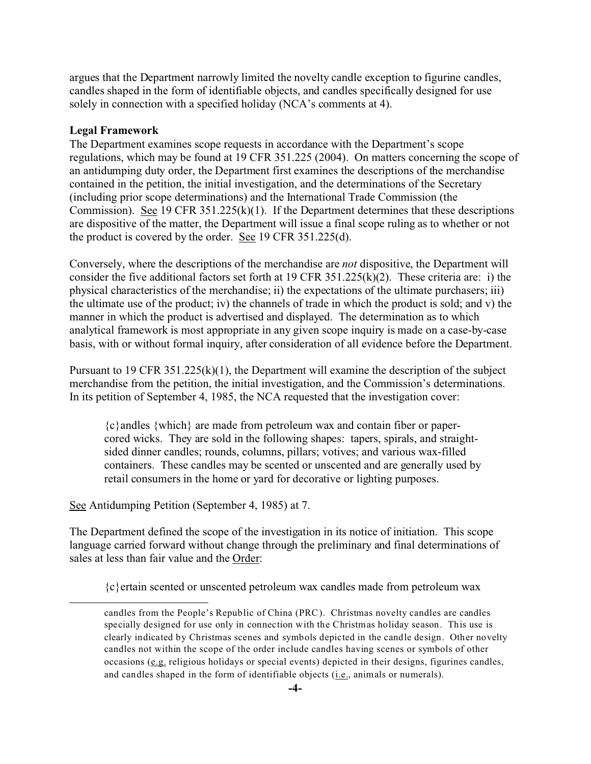argues that the Department narrowly limited the novelty candle exception to figurine candles, candles shaped in the form of identifiable objects, and candles specifically designed for use solely in connection with a specified holiday (NCA's comments at 4).

#### **Legal Framework**

The Department examines scope requests in accordance with the Department's scope regulations, which may be found at 19 CFR 351.225 (2004). On matters concerning the scope of an antidumping duty order, the Department first examines the descriptions of the merchandise contained in the petition, the initial investigation, and the determinations of the Secretary (including prior scope determinations) and the International Trade Commission (the Commission). See 19 CFR 351.225(k)(1). If the Department determines that these descriptions are dispositive of the matter, the Department will issue a final scope ruling as to whether or not the product is covered by the order. See 19 CFR 351.225(d).

Conversely, where the descriptions of the merchandise are *not* dispositive, the Department will consider the five additional factors set forth at 19 CFR 351.225(k)(2). These criteria are: i) the physical characteristics of the merchandise; ii) the expectations of the ultimate purchasers; iii) the ultimate use of the product; iv) the channels of trade in which the product is sold; and v) the manner in which the product is advertised and displayed. The determination as to which analytical framework is most appropriate in any given scope inquiry is made on a case-by-case basis, with or without formal inquiry, after consideration of all evidence before the Department.

Pursuant to 19 CFR 351.225(k)(1), the Department will examine the description of the subject merchandise from the petition, the initial investigation, and the Commission's determinations. In its petition of September 4, 1985, the NCA requested that the investigation cover:

{c}andles {which} are made from petroleum wax and contain fiber or papercored wicks. They are sold in the following shapes: tapers, spirals, and straightsided dinner candles; rounds, columns, pillars; votives; and various wax-filled containers. These candles may be scented or unscented and are generally used by retail consumers in the home or yard for decorative or lighting purposes.

See Antidumping Petition (September 4, 1985) at 7.

The Department defined the scope of the investigation in its notice of initiation. This scope language carried forward without change through the preliminary and final determinations of sales at less than fair value and the Order:

{c}ertain scented or unscented petroleum wax candles made from petroleum wax

candles from the People's Republic of China (PRC). Christmas novelty candles are candles specially designed for use only in connection with the Christmas holiday season. This use is clearly indicated by Christmas scenes and symbols depicted in the candle design. Other novelty candles not within the scope of the order include candles having scenes or symbols of other occasions (e.g. religious holidays or special events) depicted in their designs, figurines candles, and candles shaped in the form of identifiable objects (i.e., animals or numerals).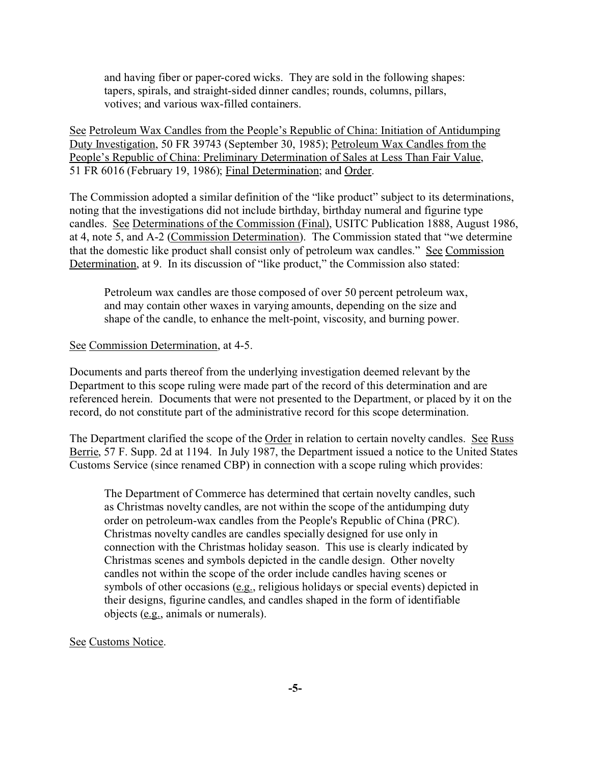and having fiber or paper-cored wicks. They are sold in the following shapes: tapers, spirals, and straight-sided dinner candles; rounds, columns, pillars, votives; and various wax-filled containers.

See Petroleum Wax Candles from the People's Republic of China: Initiation of Antidumping Duty Investigation, 50 FR 39743 (September 30, 1985); Petroleum Wax Candles from the People's Republic of China: Preliminary Determination of Sales at Less Than Fair Value, 51 FR 6016 (February 19, 1986); Final Determination; and Order.

The Commission adopted a similar definition of the "like product" subject to its determinations, noting that the investigations did not include birthday, birthday numeral and figurine type candles. See Determinations of the Commission (Final), USITC Publication 1888, August 1986, at 4, note 5, and A-2 (Commission Determination). The Commission stated that "we determine that the domestic like product shall consist only of petroleum wax candles." See Commission Determination, at 9. In its discussion of "like product," the Commission also stated:

Petroleum wax candles are those composed of over 50 percent petroleum wax, and may contain other waxes in varying amounts, depending on the size and shape of the candle, to enhance the melt-point, viscosity, and burning power.

#### See Commission Determination, at 4-5.

Documents and parts thereof from the underlying investigation deemed relevant by the Department to this scope ruling were made part of the record of this determination and are referenced herein. Documents that were not presented to the Department, or placed by it on the record, do not constitute part of the administrative record for this scope determination.

The Department clarified the scope of the Order in relation to certain novelty candles. See Russ Berrie, 57 F. Supp. 2d at 1194. In July 1987, the Department issued a notice to the United States Customs Service (since renamed CBP) in connection with a scope ruling which provides:

The Department of Commerce has determined that certain novelty candles, such as Christmas novelty candles, are not within the scope of the antidumping duty order on petroleum-wax candles from the People's Republic of China (PRC). Christmas novelty candles are candles specially designed for use only in connection with the Christmas holiday season. This use is clearly indicated by Christmas scenes and symbols depicted in the candle design. Other novelty candles not within the scope of the order include candles having scenes or symbols of other occasions (e.g., religious holidays or special events) depicted in their designs, figurine candles, and candles shaped in the form of identifiable objects (e.g., animals or numerals).

#### See Customs Notice.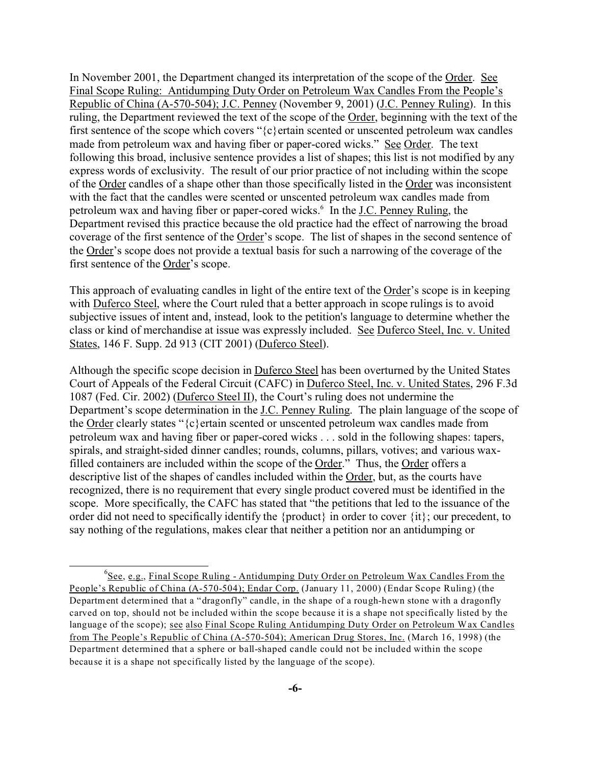In November 2001, the Department changed its interpretation of the scope of the Order. See Final Scope Ruling: Antidumping Duty Order on Petroleum Wax Candles From the People's Republic of China (A-570-504); J.C. Penney (November 9, 2001) (J.C. Penney Ruling). In this ruling, the Department reviewed the text of the scope of the Order, beginning with the text of the first sentence of the scope which covers " $\{c\}$  ertain scented or unscented petroleum wax candles made from petroleum wax and having fiber or paper-cored wicks." See Order. The text following this broad, inclusive sentence provides a list of shapes; this list is not modified by any express words of exclusivity. The result of our prior practice of not including within the scope of the Order candles of a shape other than those specifically listed in the Order was inconsistent with the fact that the candles were scented or unscented petroleum wax candles made from petroleum wax and having fiber or paper-cored wicks.<sup>6</sup> In the J.C. Penney Ruling, the Department revised this practice because the old practice had the effect of narrowing the broad coverage of the first sentence of the Order's scope. The list of shapes in the second sentence of the Order's scope does not provide a textual basis for such a narrowing of the coverage of the first sentence of the Order's scope.

This approach of evaluating candles in light of the entire text of the Order's scope is in keeping with Duferco Steel, where the Court ruled that a better approach in scope rulings is to avoid subjective issues of intent and, instead, look to the petition's language to determine whether the class or kind of merchandise at issue was expressly included. See Duferco Steel, Inc. v. United States, 146 F. Supp. 2d 913 (CIT 2001) (Duferco Steel).

Although the specific scope decision in Duferco Steel has been overturned by the United States Court of Appeals of the Federal Circuit (CAFC) in Duferco Steel, Inc. v. United States, 296 F.3d 1087 (Fed. Cir. 2002) (Duferco Steel II), the Court's ruling does not undermine the Department's scope determination in the J.C. Penney Ruling. The plain language of the scope of the Order clearly states "{c}ertain scented or unscented petroleum wax candles made from petroleum wax and having fiber or paper-cored wicks . . . sold in the following shapes: tapers, spirals, and straight-sided dinner candles; rounds, columns, pillars, votives; and various waxfilled containers are included within the scope of the Order." Thus, the Order offers a descriptive list of the shapes of candles included within the Order, but, as the courts have recognized, there is no requirement that every single product covered must be identified in the scope. More specifically, the CAFC has stated that "the petitions that led to the issuance of the order did not need to specifically identify the {product} in order to cover {it}; our precedent, to say nothing of the regulations, makes clear that neither a petition nor an antidumping or

<sup>&</sup>lt;sup>6</sup>See, e.g., Final Scope Ruling - Antidumping Duty Order on Petroleum Wax Candles From the People's Republic of China (A-570-504); Endar Corp. (January 11, 2000) (Endar Scope Ruling) (the Department determined that a "dragonfly" candle, in the shape of a rough-hewn stone with a dragonfly carved on top, should not be included within the scope because it is a shape not specifically listed by the language of the scope); see also Final Scope Ruling Antidumping Duty Order on Petroleum Wax Candles from The People's Republic of China (A-570-504); American Drug Stores, Inc. (March 16, 1998) (the Department determined that a sphere or ball-shaped candle could not be included within the scope because it is a shape not specifically listed by the language of the scope).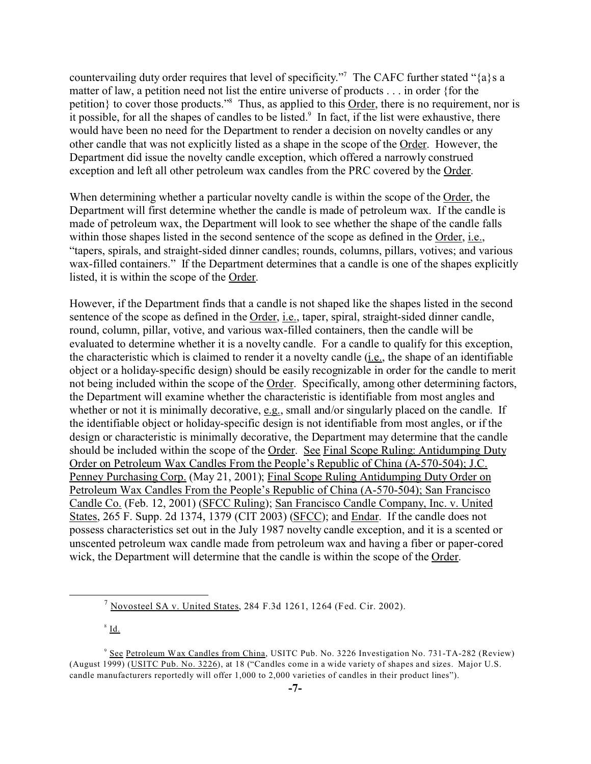countervailing duty order requires that level of specificity."<sup>7</sup> The CAFC further stated "{a}s a matter of law, a petition need not list the entire universe of products . . . in order {for the petition} to cover those products."<sup>8</sup> Thus, as applied to this Order, there is no requirement, nor is it possible, for all the shapes of candles to be listed.<sup>9</sup> In fact, if the list were exhaustive, there would have been no need for the Department to render a decision on novelty candles or any other candle that was not explicitly listed as a shape in the scope of the Order. However, the Department did issue the novelty candle exception, which offered a narrowly construed exception and left all other petroleum wax candles from the PRC covered by the Order.

When determining whether a particular novelty candle is within the scope of the Order, the Department will first determine whether the candle is made of petroleum wax. If the candle is made of petroleum wax, the Department will look to see whether the shape of the candle falls within those shapes listed in the second sentence of the scope as defined in the Order, i.e., "tapers, spirals, and straight-sided dinner candles; rounds, columns, pillars, votives; and various wax-filled containers." If the Department determines that a candle is one of the shapes explicitly listed, it is within the scope of the Order.

However, if the Department finds that a candle is not shaped like the shapes listed in the second sentence of the scope as defined in the Order, i.e., taper, spiral, straight-sided dinner candle, round, column, pillar, votive, and various wax-filled containers, then the candle will be evaluated to determine whether it is a novelty candle. For a candle to qualify for this exception, the characteristic which is claimed to render it a novelty candle (i.e., the shape of an identifiable object or a holiday-specific design) should be easily recognizable in order for the candle to merit not being included within the scope of the Order. Specifically, among other determining factors, the Department will examine whether the characteristic is identifiable from most angles and whether or not it is minimally decorative, e.g., small and/or singularly placed on the candle. If the identifiable object or holiday-specific design is not identifiable from most angles, or if the design or characteristic is minimally decorative, the Department may determine that the candle should be included within the scope of the Order. See Final Scope Ruling: Antidumping Duty Order on Petroleum Wax Candles From the People's Republic of China (A-570-504); J.C. Penney Purchasing Corp. (May 21, 2001); Final Scope Ruling Antidumping Duty Order on Petroleum Wax Candles From the People's Republic of China (A-570-504); San Francisco Candle Co. (Feb. 12, 2001) (SFCC Ruling); San Francisco Candle Company, Inc. v. United States, 265 F. Supp. 2d 1374, 1379 (CIT 2003) (SFCC); and Endar. If the candle does not possess characteristics set out in the July 1987 novelty candle exception, and it is a scented or unscented petroleum wax candle made from petroleum wax and having a fiber or paper-cored wick, the Department will determine that the candle is within the scope of the Order.

8 Id.

 $<sup>7</sup>$  Novosteel SA v. United States, 284 F.3d 1261, 1264 (Fed. Cir. 2002).</sup>

<sup>9</sup> See Petroleum Wax Candles from China, USITC Pub. No. 3226 Investigation No. 731-TA-282 (Review) (August 1999) (USITC Pub. No. 3226), at 18 ("Candles come in a wide variety of shapes and sizes. Major U.S. candle manufacturers reportedly will offer 1,000 to 2,000 varieties of candles in their product lines").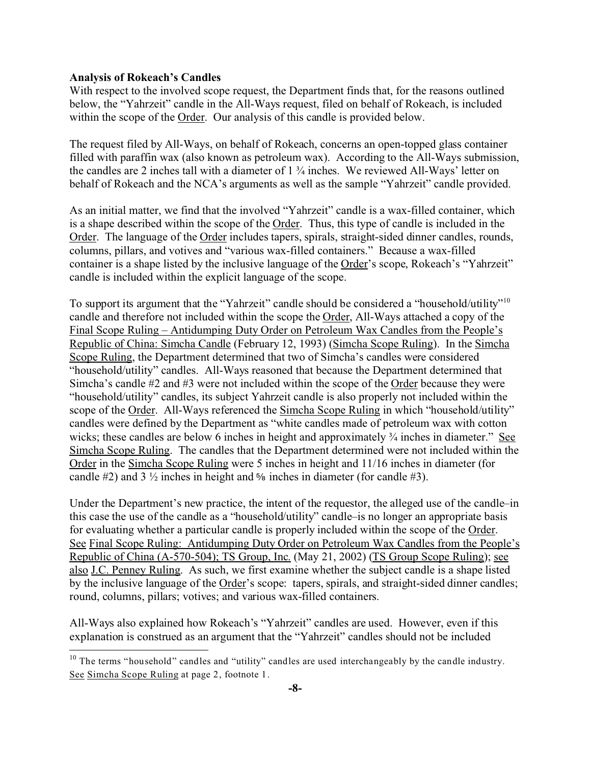## **Analysis of Rokeach's Candles**

With respect to the involved scope request, the Department finds that, for the reasons outlined below, the "Yahrzeit" candle in the All-Ways request, filed on behalf of Rokeach, is included within the scope of the Order. Our analysis of this candle is provided below.

The request filed by All-Ways, on behalf of Rokeach, concerns an open-topped glass container filled with paraffin wax (also known as petroleum wax). According to the All-Ways submission, the candles are 2 inches tall with a diameter of 1 ¾ inches. We reviewed All-Ways' letter on behalf of Rokeach and the NCA's arguments as well as the sample "Yahrzeit" candle provided.

As an initial matter, we find that the involved "Yahrzeit" candle is a wax-filled container, which is a shape described within the scope of the Order. Thus, this type of candle is included in the Order. The language of the Order includes tapers, spirals, straight-sided dinner candles, rounds, columns, pillars, and votives and "various wax-filled containers." Because a wax-filled container is a shape listed by the inclusive language of the Order's scope, Rokeach's "Yahrzeit" candle is included within the explicit language of the scope.

To support its argument that the "Yahrzeit" candle should be considered a "household/utility"<sup>10</sup> candle and therefore not included within the scope the Order, All-Ways attached a copy of the Final Scope Ruling – Antidumping Duty Order on Petroleum Wax Candles from the People's Republic of China: Simcha Candle (February 12, 1993) (Simcha Scope Ruling). In the Simcha Scope Ruling, the Department determined that two of Simcha's candles were considered "household/utility" candles. All-Ways reasoned that because the Department determined that Simcha's candle #2 and #3 were not included within the scope of the Order because they were "household/utility" candles, its subject Yahrzeit candle is also properly not included within the scope of the Order. All-Ways referenced the Simcha Scope Ruling in which "household/utility" candles were defined by the Department as "white candles made of petroleum wax with cotton wicks; these candles are below 6 inches in height and approximately  $\frac{3}{4}$  inches in diameter." See Simcha Scope Ruling. The candles that the Department determined were not included within the Order in the Simcha Scope Ruling were 5 inches in height and 11/16 inches in diameter (for candle #2) and  $3\frac{1}{2}$  inches in height and  $\frac{5}{6}$  inches in diameter (for candle #3).

Under the Department's new practice, the intent of the requestor, the alleged use of the candle–in this case the use of the candle as a "household/utility" candle–is no longer an appropriate basis for evaluating whether a particular candle is properly included within the scope of the Order. See Final Scope Ruling: Antidumping Duty Order on Petroleum Wax Candles from the People's Republic of China (A-570-504); TS Group, Inc. (May 21, 2002) (TS Group Scope Ruling); see also J.C. Penney Ruling. As such, we first examine whether the subject candle is a shape listed by the inclusive language of the Order's scope: tapers, spirals, and straight-sided dinner candles; round, columns, pillars; votives; and various wax-filled containers.

All-Ways also explained how Rokeach's "Yahrzeit" candles are used. However, even if this explanation is construed as an argument that the "Yahrzeit" candles should not be included

<sup>&</sup>lt;sup>10</sup> The terms "household" candles and "utility" candles are used interchangeably by the candle industry. See Simcha Scope Ruling at page 2, footnote 1.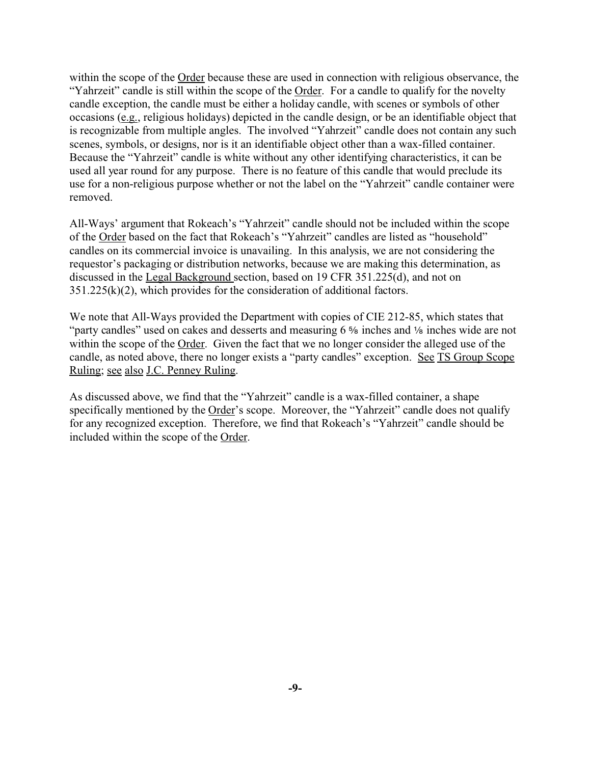within the scope of the Order because these are used in connection with religious observance, the "Yahrzeit" candle is still within the scope of the Order. For a candle to qualify for the novelty candle exception, the candle must be either a holiday candle, with scenes or symbols of other occasions (e.g., religious holidays) depicted in the candle design, or be an identifiable object that is recognizable from multiple angles. The involved "Yahrzeit" candle does not contain any such scenes, symbols, or designs, nor is it an identifiable object other than a wax-filled container. Because the "Yahrzeit" candle is white without any other identifying characteristics, it can be used all year round for any purpose. There is no feature of this candle that would preclude its use for a non-religious purpose whether or not the label on the "Yahrzeit" candle container were removed.

All-Ways' argument that Rokeach's "Yahrzeit" candle should not be included within the scope of the Order based on the fact that Rokeach's "Yahrzeit" candles are listed as "household" candles on its commercial invoice is unavailing. In this analysis, we are not considering the requestor's packaging or distribution networks, because we are making this determination, as discussed in the Legal Background section, based on 19 CFR 351.225(d), and not on  $351.225(k)(2)$ , which provides for the consideration of additional factors.

We note that All-Ways provided the Department with copies of CIE 212-85, which states that "party candles" used on cakes and desserts and measuring  $6\%$  inches and  $\%$  inches wide are not within the scope of the Order. Given the fact that we no longer consider the alleged use of the candle, as noted above, there no longer exists a "party candles" exception. See TS Group Scope Ruling; see also J.C. Penney Ruling.

As discussed above, we find that the "Yahrzeit" candle is a wax-filled container, a shape specifically mentioned by the Order's scope. Moreover, the "Yahrzeit" candle does not qualify for any recognized exception. Therefore, we find that Rokeach's "Yahrzeit" candle should be included within the scope of the Order.